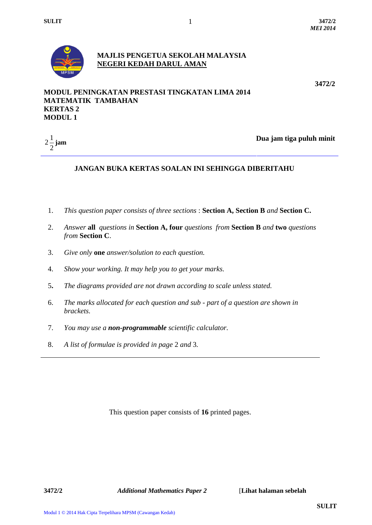

## **MAJLIS PENGETUA SEKOLAH MALAYSIA NEGERI KEDAH DARUL AMAN**

1

**3472/2**

## **MODUL PENINGKATAN PRESTASI TINGKATAN LIMA 2014 MATEMATIK TAMBAHAN KERTAS 2 MODUL 1**



**jam Dua jam tiga puluh minit** 

# **JANGAN BUKA KERTAS SOALAN INI SEHINGGA DIBERITAHU**

- 1. *This question paper consists of three sections* : **Section A, Section B** *and* **Section C.**
- 2. *Answer* **all** *questions in* **Section A, four** *questions from* **Section B** *and* **two** *questions from* **Section C**.
- 3. *Give only* **one** *answer/solution to each question.*
- 4. *Show your working. It may help you to get your marks.*
- 5**.** *The diagrams provided are not drawn according to scale unless stated.*
- 6. *The marks allocated for each question and sub - part of a question are shown in brackets.*
- 7. *You may use a non-programmable scientific calculator.*
- 8. *A list of formulae is provided in page* 2 *and* 3*.*

This question paper consists of **16** printed pages.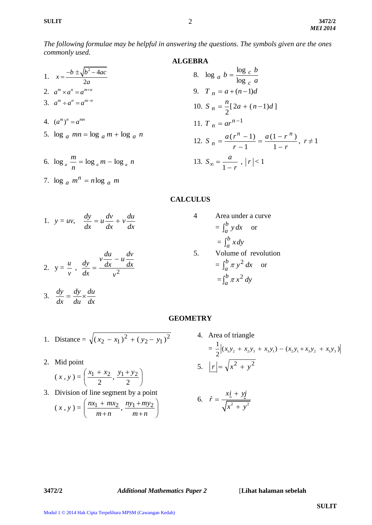2

*The following formulae may be helpful in answering the questions. The symbols given are the ones commonly used.*

## **ALGEBRA**

1. 
$$
x = \frac{-b \pm \sqrt{b^2 - 4ac}}{2a}
$$
  
\n2.  $a^m \times a^n = a^{m+n}$   
\n3.  $a^m \div a^n = a^{m-n}$   
\n4.  $(a^m)^n = a^{mn}$   
\n5.  $\log a$   $mn = \log a$   $mn + \log a$   $n$   
\n6.  $\log_a \frac{m}{n} = \log_a m - \log_a n$   
\n7.  $n = a + (n-1)d$   
\n8.  $\log a$   $b = \frac{\log c}{\log c} a$   
\n9.  $T_n = a + (n-1)d$   
\n10.  $S_n = \frac{n}{2}[2a + (n-1)d]$   
\n11.  $T_n = ar^{n-1}$   
\n12.  $S_n = \frac{a(r^n - 1)}{r - 1} = \frac{a(1 - r^n)}{1 - r}, r \ne 1$   
\n13.  $S_\infty = \frac{a}{1 - r}, |r| < 1$ 

#### **CALCULUS**

1. 
$$
y = uv
$$
,  $\frac{dy}{dx} = u \frac{dv}{dx} + v \frac{du}{dx}$ 

7.  $\log_a m^n = n \log_a m$  $\log_a m^n = n \log_a$ 

2. 
$$
y = \frac{u}{v}
$$
,  $\frac{dy}{dx} = \frac{v \frac{du}{dx} - u \frac{dv}{dx}}{v^2}$ 

*dx du*

*du dy*

 $\frac{dy}{dx} = \frac{dy}{dx} \times$ 

$$
= \int_{a}^{b} y \, dx \quad \text{or}
$$

$$
= \int_{a}^{b} x \, dy
$$
5. Volume of revolution
$$
= \int_{a}^{b} \pi y^{2} \, dx \quad \text{or}
$$

$$
= \int_{a}^{b} \pi x^{2} \, dy
$$

4 Area under a curve

#### **GEOMETRY**

1. Distance = 
$$
\sqrt{(x_2 - x_1)^2 + (y_2 - y_1)^2}
$$

2. Mid point

3.

*dx*

$$
(x, y) = \left(\frac{x_1 + x_2}{2}, \frac{y_1 + y_2}{2}\right)
$$

3. Division of line segment by a point  $\sqrt{ }$ 

$$
(x, y) = \left(\frac{nx_1 + mx_2}{m+n}, \frac{ny_1 + my_2}{m+n}\right)
$$

4. Area of triangle  
\n
$$
= \frac{1}{2} |(x_1y_2 + x_2y_3 + x_3y_1) - (x_2y_1 + x_3y_2 + x_1y_3)|
$$
\n5. 
$$
|\mathbf{r}| = \sqrt{x^2 + y^2}
$$

$$
6. \quad \hat{r} = \frac{x\dot{\mathbf{i}} + y\dot{\mathbf{j}}}{\sqrt{x^2 + y^2}}
$$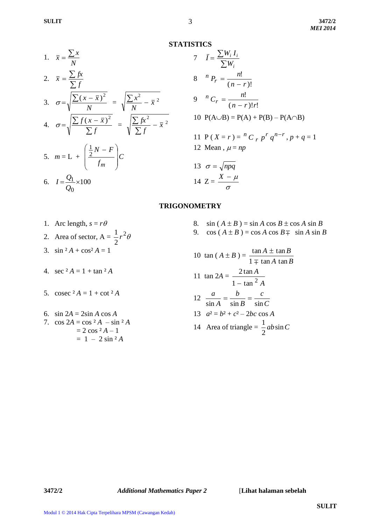**STATISTICS**

1. 
$$
\bar{x} = \frac{\sum x}{N}
$$
  
2.  $\bar{x} = \frac{\sum fx}{\sum f}$ 

3. 
$$
\sigma = \sqrt{\frac{\sum (x - \bar{x})^2}{N}} = \sqrt{\frac{\sum x^2}{N} - \bar{x}^2}
$$

4. 
$$
\sigma = \sqrt{\frac{\sum f(x - \bar{x})^2}{\sum f}} = \sqrt{\frac{\sum fx^2}{\sum f} - \bar{x}^2}
$$

$$
5. \quad m = L + \left(\frac{\frac{1}{2}N - F}{f_m}\right)C
$$

$$
6. \quad I = \frac{Q_1}{Q_0} \times 100
$$

7 
$$
\bar{I} = \frac{\sum W_i I_i}{\sum W_i}
$$
  
\n8  ${}^nP_r = \frac{n!}{(n-r)!}$   
\n9  ${}^nC_r = \frac{n!}{(n-r)!r!}$   
\n10  $P(A \cup B) = P(A) + P(B) - P(A \cap B)$   
\n11  $P(X = r) = {}^nC_r p^r q^{n-r}, p+q = 1$   
\n12 Mean,  $\mu = np$   
\n13  $\sigma = \sqrt{npq}$   
\n14  $Z = \frac{X - \mu}{\sigma}$ 

## **TRIGONOMETRY**

- 
- 2. Area of sector,  $A = \frac{1}{2}r^2\theta$ 2  $\frac{1}{r}$
- 3.  $\sin^2 A + \cos^2 A = 1$
- 4. sec  $^2A = 1 + \tan^2 A$
- 5. cosec  $^2 A = 1 + \cot^2 A$
- 6. sin  $2A = 2\sin A \cos A$ 7.  $\cos 2A = \cos^2 A - \sin^2 A$  $= 2 \cos^2 A - 1$  $= 1 - 2 \sin^2 A$
- 1. Arc length,  $s = r\theta$  8. sin  $(A \pm B) = \sin A \cos B \pm \cos A \sin B$ 
	- 9. cos  $(A \pm B) = \cos A \cos B \mp \sin A \sin B$

10 tan (A ± B) = 
$$
\frac{\tan A \pm \tan B}{1 \mp \tan A \tan B}
$$
  
\n11 tan 2A = 
$$
\frac{2 \tan A}{1 - \tan^2 A}
$$
  
\n12 
$$
\frac{a}{\sin A} = \frac{b}{\sin B} = \frac{c}{\sin C}
$$
  
\n13 
$$
a^2 = b^2 + c^2 - 2bc \cos A
$$
  
\n14 Area of triangle = 
$$
\frac{1}{2}ab\sin C
$$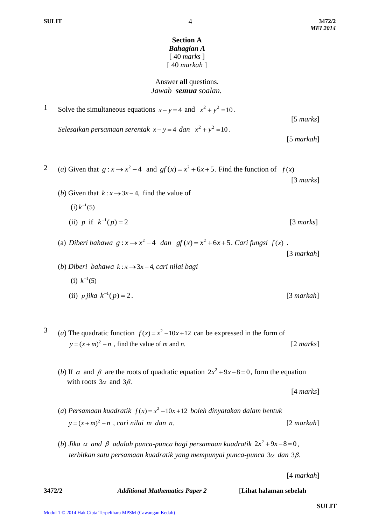#### **Section A** *Bahagian A* [ 40 *marks* ] [ 40 *markah* ]

## Answer **all** questions.  *Jawab semua soalan.*

1 Solve the simultaneous equations  $x - y = 4$  and  $x^2 + y^2 = 10$ . [5 *marks*] *Selesaikan persamaan serentak*  $x - y = 4$  *dan*  $x^2 + y^2 = 10$ .

[5 *markah*]

- 2 (*a*) Given that  $g: x \to x^2 4$  and  $gf(x) = x^2 + 6x + 5$ . Find the function of  $f(x)$  [3 *marks*]
	- (*b*) Given that  $k: x \rightarrow 3x-4$ , find the value of  $(i) k^{-1}(5)$ (ii) *p* if  $k^{-1}(p) = 2$ [3 *marks*]
	- (a) *Diberi bahawa*  $g: x \to x^2 4$  *dan*  $gf(x) = x^2 + 6x + 5$ . *Cari fungsi*  $f(x)$ . [3 *markah*]
	- $(b)$  *Diberi bahawa*  $k: x \rightarrow 3x-4$ , cari nilai bagi (i)  $k^{-1}(5)$ (ii) *p jika*  $k^{-1}(p) = 2$ *.* [3 *markah*]
- <sup>3</sup> (*a*) The quadratic function  $f(x) = x^2 10x + 12$  can be expressed in the form of  $y = (x + m)^2 - n$ , find the value of *m* and *n*. [2 *marks*]
	- (*b*) If  $\alpha$  and  $\beta$  are the roots of quadratic equation  $2x^2 + 9x 8 = 0$ , form the equation with roots  $3\alpha$  and  $3\beta$ .
		- [4 *marks*]
	- (a) *Persamaan kuadratik*  $f(x) = x^2 10x + 12$  boleh dinyatakan dalam bentuk  $y = (x + m)^2 - n$ , *cari nilai m* dan *n*. [2 *markah*]
	- (*b*) *Jika*  $\alpha$  and  $\beta$  adalah punca-punca bagi persamaan kuadratik  $2x^2 + 9x 8 = 0$ , terbitkan satu persamaan kuadratik yang mempunyai punca-punca 3α dan 3β.

[4 *markah*]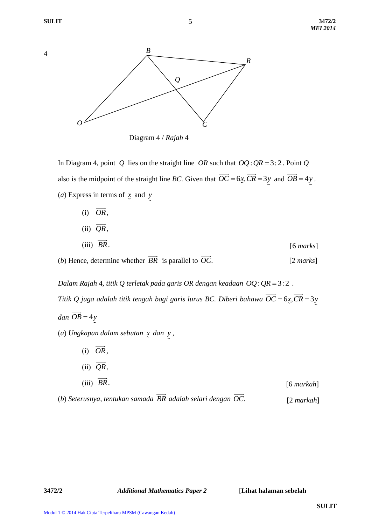4



 Diagram 4 / *Rajah* 4 *Q*

In Diagram 4, point Q lies on the straight line  $OR$  such that  $OQ:QR = 3:2$ . Point Q also is the midpoint of the straight line *BC*. Given that  $\overrightarrow{OC} = 6x$ ,  $\overrightarrow{CR} = 3y$  and  $\overrightarrow{OB} = 4y$ . (*a*) Express in terms of *x* and *y*

| $(i)$ OR,                         |  |           |
|-----------------------------------|--|-----------|
| $\longrightarrow$<br>(ii) $QR$ ,  |  |           |
| $\longrightarrow$<br>(iii) $BR$ . |  | [6 marks] |
|                                   |  |           |

(*b*) Hence, determine whether *BR* is parallel to *OC*. [2 *marks*]

*Dalam Rajah* 4, titik Q terletak pada garis OR dengan keadaan  $OQ$ : QR = 3:2. *Titik Q juga adalah titik tengah bagi garis lurus BC. Diberi bahawa*  $\overrightarrow{OC} = 6$ *x,*  $\overrightarrow{CR} = 3$ *y*  $dan$   $OB = 4y$ (*a*) *Ungkapan dalam sebutan x dan y* ,

| $\longrightarrow$<br>(ii) $QR$ , |              |
|----------------------------------|--------------|
| (iii) $\overrightarrow{BR}$ .    | $[6$ markah] |

(*b*) *Seterusnya, tentukan samada BR adalah selari dengan OC*. [2 *markah*]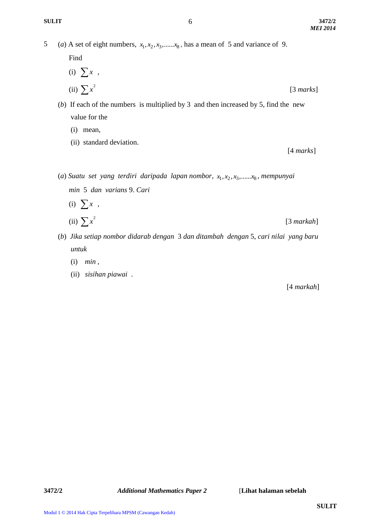5 (*a*) A set of eight numbers,  $x_1, x_2, x_3, \dots, x_8$ , has a mean of 5 and variance of 9.

Find

(i) 
$$
\sum x
$$
,  
\n(ii)  $\sum x^2$  [3 marks]

(*b*) If each of the numbers is multiplied by 3 and then increased by 5, find the new value for the

- (i) mean,
- (ii) standard deviation.

[4 *marks*]

- (*a*) *Suatu set yang terdiri daripada lapan nombor,*  $x_1, x_2, x_3, \ldots, x_8$ *, mempunyai min* 5 *dan varians* 9. *Cari*
- $(i)$   $\sum x$ ,  $(i)$   $\sum x^2$  $\sum x^2$  [3 *markah*]
- (*b*) *Jika setiap nombor didarab dengan* 3 *dan ditambah dengan* 5, *cari nilai yang baru untuk* 
	- (i) *min* ,
	- (ii) *sisihan piawai* .

[4 *markah*]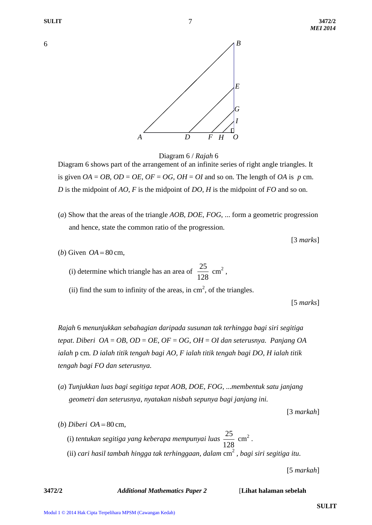6

7



Diagram 6 / *Rajah* 6

Diagram 6 shows part of the arrangement of an infinite series of right angle triangles. It is given  $OA = OB$ ,  $OD = OE$ ,  $OF = OG$ ,  $OH = OI$  and so on. The length of  $OA$  is  $p$  cm. *D* is the midpoint of *AO*, *F* is the midpoint of *DO*, *H* is the midpoint of *FO* and so on.

(*a*) Show that the areas of the triangle *AOB*, *DOE*, *FOG*, ... form a geometric progression and hence, state the common ratio of the progression.

[3 *marks*]

(*b*) Given  $OA = 80$  cm,

(i) determine which triangle has an area of  $\frac{25}{100}$ 128  $\text{cm}^2$ ,

(ii) find the sum to infinity of the areas, in  $\text{cm}^2$ , of the triangles.

[5 *marks*]

*Rajah* 6 *menunjukkan sebahagian daripada susunan tak terhingga bagi siri segitiga tepat*. *Diberi OA* = *OB*, *OD* = *OE*, *OF* = *OG*, *OH* = *OI dan seterusnya. Panjang OA ialah* p cm*. D ialah titik tengah bagi AO, F ialah titik tengah bagi DO*, *H ialah titik tengah bagi FO dan seterusnya.*

(*a*) *Tunjukkan luas bagi segitiga tepat AOB*, *DOE*, *FOG*, ...*membentuk satu janjang geometri dan seterusnya, nyatakan nisbah sepunya bagi janjang ini.*

[3 *markah*]

(*b*) *Diberi*  $OA = 80$  cm,

(i) *tentukan segitiga yang keberapa mempunyai luas* 25  $\text{cm}^2$  .

128 (ii) *cari hasil tambah hingga tak terhinggaan, dalam* cm 2 *, bagi siri segitiga itu.*

[5 *markah*]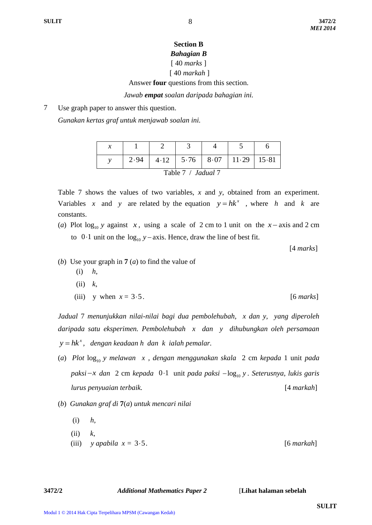## **Section B** *Bahagian B* [ 40 *marks* ]

# [ 40 *markah* ]

Answer **four** questions from this section.

*Jawab empat soalan daripada bahagian ini.*

7 Use graph paper to answer this question.

*Gunakan kertas graf untuk menjawab soalan ini.*

|                    | 2.94 |  |  |  | $4.12$   $5.76$   $8.07$   $11.29$   $15.81$ |  |
|--------------------|------|--|--|--|----------------------------------------------|--|
| Table 7 / Jadual 7 |      |  |  |  |                                              |  |

Table 7 shows the values of two variables, *x* and *y*, obtained from an experiment. Variables x and y are related by the equation  $y = hk^x$ , where h and k are constants.

(*a*) Plot  $log_{10} y$  against *x*, using a scale of 2 cm to 1 unit on the *x* – axis and 2 cm to  $0.1$  unit on the  $log_{10} y - axis$ . Hence, draw the line of best fit.

[4 *marks*]

- (*b*) Use your graph in **7** (*a*) to find the value of
	- (i) *h*,
	- (ii) *k*,
	- (iii) y when  $x = 3.5$ . [6 *marks*]

*Jadual* 7 *menunjukkan nilai-nilai bagi dua pembolehubah, x dan y, yang diperoleh daripada satu eksperimen. Pembolehubah x dan y dihubungkan oleh persamaan x y hk , dengan keadaan h dan k ialah pemalar.*

- (*a*) *Plot*  $log_{10}$  *y melawan x*, *dengan menggunakan skala* 2 cm *kepada* 1 unit *pada paksi x dan* 2 cm *kepada*  01 unit *pada paksi*  <sup>10</sup> log *y . Seterusnya, lukis garis lurus penyuaian terbaik.* [4 *markah*]
- (*b*) *Gunakan graf di* **7**(*a*) *untuk mencari nilai*
	- (i) *h,*
	- (ii) *k,*
	- $(iii)$  *y apabila*  $x = 3.5$ . 35 *.* [6 *markah*]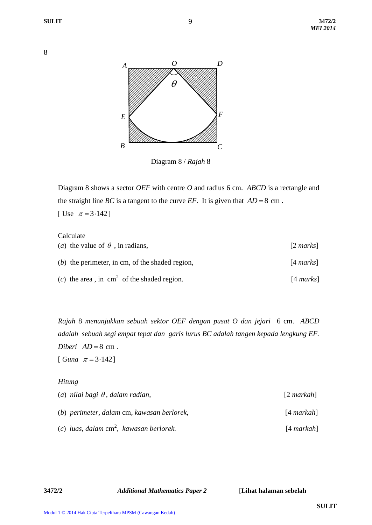*MEI 2014*



9

Diagram 8 / *Rajah* 8

Diagram 8 shows a sector *OEF* with centre *O* and radius 6 cm. *ABCD* is a rectangle and the straight line *BC* is a tangent to the curve *EF*. It is given that  $AD = 8$  cm. [ Use  $\pi = 3.142$ ]

### Calculate

| ( <i>a</i> ) the value of $\theta$ , in radians,     | $[2 \text{ marks}]$ |
|------------------------------------------------------|---------------------|
| $(b)$ the perimeter, in cm, of the shaded region,    | $[4 \text{ marks}]$ |
| (c) the area, in $\text{cm}^2$ of the shaded region. | $[4 \text{ marks}]$ |

*Rajah* 8 *menunjukkan sebuah sektor OEF dengan pusat O dan jejari* 6 cm. *ABCD adalah sebuah segi empat tepat dan garis lurus BC adalah tangen kepada lengkung EF.*  $Diberi$   $AD = 8$  cm.  $[ Guna \ \pi = 3.142 ]$ 

#### *Hitung*

| (a) nilai bagi $\theta$ , dalam radian,    | $[2$ markah] |
|--------------------------------------------|--------------|
| (b) perimeter, dalam cm, kawasan berlorek, | $[4$ markah] |
| (c) luas, dalam $cm^2$ , kawasan berlorek. | $[4$ markah] |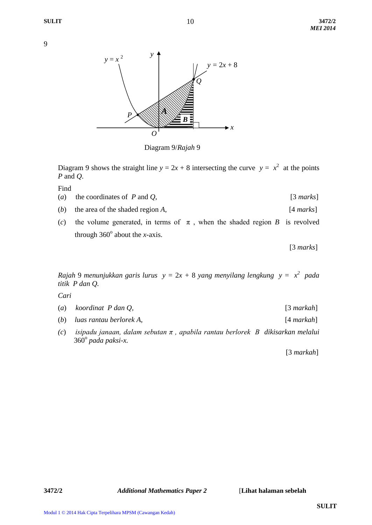

Diagram 9/*Rajah* 9

Diagram 9 shows the straight line  $y = 2x + 8$  intersecting the curve  $y = x^2$  at the points *P* and *Q*.

Find

- (*a*) the coordinates of *P* and *Q*, [3 *marks*]
- (*b*) the area of the shaded region *A*, [4 *marks*]
- (*c*) the volume generated, in terms of  $\pi$ , when the shaded region *B* is revolved through  $360^\circ$  about the *x*-axis.

[3 *marks*]

*Rajah* 9 *menunjukkan garis lurus y =* 2*x +* 8 *yang menyilang lengkung y = x<sup>2</sup> pada titik P dan Q.* 

*Cari*

| (a) koordinat $P$ dan $Q$ , | $[3$ markah] |
|-----------------------------|--------------|
|                             |              |

- (*b*) *luas rantau berlorek A,* [4 *markah*]
- *(c*) *isipadu janaan, dalam sebutan π , apabila rantau berlorek B dikisarkan melalui*  360<sup>o</sup> pada paksi-x.

[3 *markah*]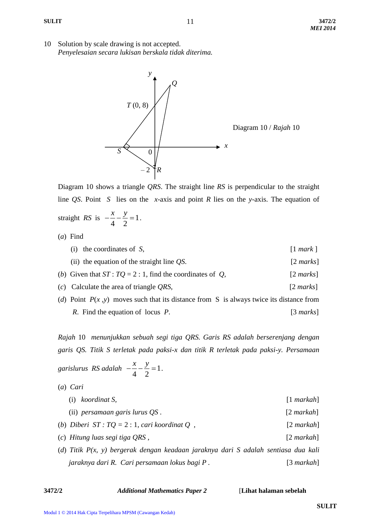10 Solution by scale drawing is not accepted. *Penyelesaian secara lukisan berskala tidak diterima.*



Diagram 10 shows a triangle *QRS*. The straight line *RS* is perpendicular to the straight line *QS*. Point *S* lies on the *x*-axis and point *R* lies on the *y*-axis. The equation of straight *RS* is  $-\frac{x}{1} - \frac{y}{2} = 1$ 4 2  $\frac{x}{\cdot} - \frac{y}{\cdot} = 1$ .

(*a*) Find

| (i) the coordinates of $S$ ,                                                              | $\lceil 1 \text{ mark } \rceil$ |
|-------------------------------------------------------------------------------------------|---------------------------------|
| (ii) the equation of the straight line $\overline{QS}$ .                                  | $[2 \text{ marks}]$             |
| (b) Given that $ST: TQ = 2:1$ , find the coordinates of Q,                                | $[2 \text{ marks}]$             |
| $(c)$ Calculate the area of triangle QRS,                                                 | $[2 \text{ marks}]$             |
| (d) Point $P(x, y)$ moves such that its distance from S is always twice its distance from |                                 |



*Rajah* 10 *menunjukkan sebuah segi tiga QRS. Garis RS adalah berserenjang dengan garis QS. Titik S terletak pada paksi-x dan titik R terletak pada paksi-y. Persamaan*

*garislurus RS adalah* 
$$
-\frac{x}{4} - \frac{y}{2} = 1
$$
.

(*a*) *Cari* 

| $(i)$ koordinat S,                                                                   | $[1$ markah]    |
|--------------------------------------------------------------------------------------|-----------------|
| $(ii)$ persamaan garis lurus QS.                                                     | $[2 \, markah]$ |
| (b) Diberi $ST: TQ = 2:1$ , cari koordinat Q,                                        | $[2$ markah]    |
| (c) Hitung luas segi tiga QRS,                                                       | $[2$ markah]    |
| (d) Titik $P(x, y)$ bergerak dengan keadaan jaraknya dari S adalah sentiasa dua kali |                 |
| jaraknya dari R. Cari persamaan lokus bagi P.                                        | $[3$ markah]    |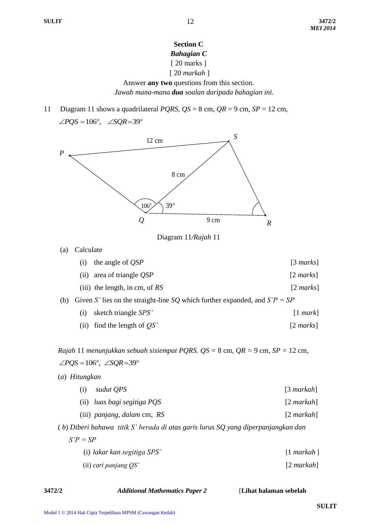# **Section C** *Bahagian C* [ 20 marks ]

# [ 20 *markah* ]

Answer **any two** questions from this section. *Jawab mana-mana dua soalan daripada bahagian ini.*

11 Diagram 11 shows a quadrilateral *PQRS*, *QS* = 8 cm, *QR* = 9 cm, *SP* = 12 cm,  $\angle PQS = 106^\circ$ ,  $\angle SQR = 39^\circ$ 



Diagram 11*/Rajah* 11

(a) Calculate

|  | (i) the angle of $QSP$      | [3 marks]           |
|--|-----------------------------|---------------------|
|  | (ii) area of triangle $QSP$ | $[2 \text{ marks}]$ |

- (iii) the length, in cm, of *RS* [2 *marks*]
- (b) Given *S'* lies on the straight-line *SQ* which further expanded, and *S'P = SP*

| $(i)$ sketch triangle SPS' | $[1$ mark] |
|----------------------------|------------|
|----------------------------|------------|

(ii) find the length of *QS'* [2 *marks*]

*Rajah* 11 *menunjukkan sebuah sisiempat PQRS. QS =* 8 cm*, QR =* 9 cm*, SP =* 12 cm,  $\angle PQS = 106^\circ$ ,  $\angle SQR = 39^\circ$ 

(*a*) *Hitungkan* (i) *sudut QPS* [3 *markah*] (ii) *luas bagi segitiga PQS* [2 *markah*] (iii) *panjang, dalam* cm*, RS* [2 *markah*]

( *b*) *Diberi bahawa titik S' berada di atas garis lurus SQ yang diperpanjangkan dan S'P = SP*

(i) *lakar kan segitiga SPS'* [1 *markah* ](ii) *cari panjang QS'* [2 *markah*]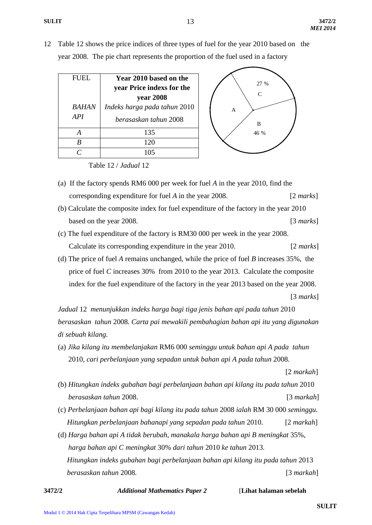12 Table 12 shows the price indices of three types of fuel for the year 2010 based on the year 2008. The pie chart represents the proportion of the fuel used in a factory

| <b>FUEL</b> | Year 2010 based on the       | 27 %          |
|-------------|------------------------------|---------------|
|             | year Price indexs for the    | $\mathcal{C}$ |
|             | year 2008                    |               |
| BAHAN       | Indeks harga pada tahun 2010 | A             |
| API         | berasaskan tahun 2008        | B             |
|             | 135                          | 46 %          |
|             | 120                          |               |
|             |                              |               |
|             |                              |               |

Table 12 / *Jadual* 12

- (a) If the factory spends RM6 000 per week for fuel *A* in the year 2010, find the corresponding expenditure for fuel *A* in the year 2008.[2 *marks*]
- (b) Calculate the composite index for fuel expenditure of the factory in the year 2010 based on the year 2008. *a* [3 *marks*]
- (c) The fuel expenditure of the factory is RM30 000 per week in the year 2008. Calculate its corresponding expenditure in the year 2010. [2 *marks*]
- (d) The price of fuel *A* remains unchanged, while the price of fuel *B* increases 35%, the price of fuel *C* increases 30% from 2010 to the year 2013. Calculate the composite index for the fuel expenditure of the factory in the year 2013 based on the year 2008.

[3 *marks*]

*Jadual* 12 *menunjukkan indeks harga bagi tiga jenis bahan api pada tahun* 2010 *berasaskan tahun* 2008*. Carta pai mewakili pembahagian bahan api itu yang digunakan di sebuah kilang.*

(a) *Jika kilang itu membelanjakan* RM6 000 *seminggu untuk bahan api A pada tahun* 2010*, cari perbelanjaan yang sepadan untuk bahan api A pada tahun* 2008*.*

[2 *markah*]

- (b) *Hitungkan indeks gubahan bagi perbelanjaan bahan api kilang itu pada tahun* 2010 *berasaskan tahun* 2008.[3 *markah*]
- (c) *Perbelanjaan bahan api bagi kilang itu pada tahun* 2008 *ialah* RM 30 000 *seminggu. Hitungkan perbelanjaan bahanapi yang sepadan pada tahun* 2010.[2 *markah*]
- (d) *Harga bahan api A tidak berubah, manakala harga bahan api B meningkat* 35%, *harga bahan api C meningkat* 30% *dari tahun* 2010 *ke tahun* 2013*. Hitungkan indeks gubahan bagi perbelanjaan bahan api kilang itu pada tahun* 2013  *berasaskan tahun* 2008*.* [3 *markah*]